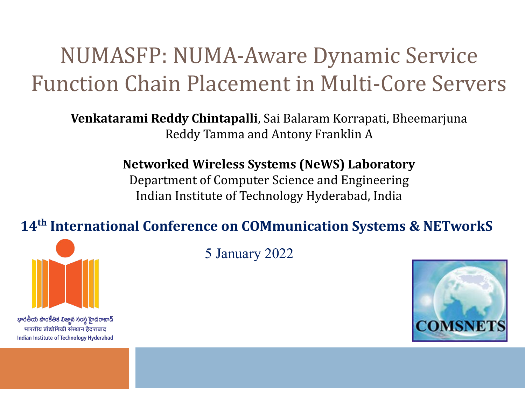### NUMASFP: NUMA-Aware Dynamic Service Function Chain Placement in Multi-Core Servers

**Venkatarami Reddy Chintapalli**, Sai Balaram Korrapati, Bheemarjuna Reddy Tamma and Antony Franklin A

**Networked Wireless Systems (NeWS) Laboratory**

Department of Computer Science and Engineering Indian Institute of Technology Hyderabad, India

#### **14th International Conference on COMmunication Systems & NETworkS**



భారతీయ సాంకేతిక విజ్ఞాన సంస్థ హైదరాబాద్ भारतीय प्रौद्योगिकी संस्थान हैदराबाद Indian Institute of Technology Hyderabad 5 January 2022

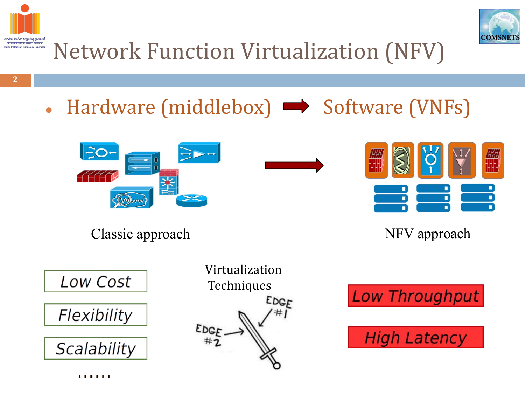



Network Function Virtualization (NFV)

- **2**
- Hardware (middlebox)  $\rightarrow$  Software (VNFs)



Classic approach NFV approach





Virtualization **Techniques** EDGE #1 EDGE

**Low Throughput** 

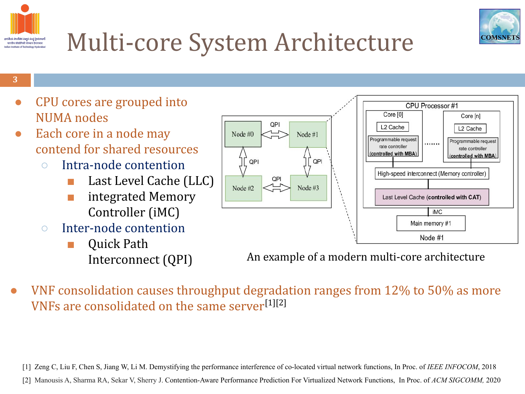

Core [n]

L<sub>2</sub> Cache

Programmable request

rate controller

(controlled with MBA)

. . . . . . .

iMC

Node #1

# Multi-core System Architecture

#### **3**

భారతీయ సాంకేతిక విజ్ఞాన సంస్థ హైదరాబాద్ भारतीय प्रौद्योगिकी संस्थान हैदराबाद

- CPU cores are grouped into NUMA nodes
- Each core in a node may contend for shared resources
	- Intra-node contention
		- Last Level Cache (LLC)
		- integrated Memory Controller (iMC)
	- Inter-node contention
		- Quick Path Interconnect (QPI)

An example of a modern multi-core architecture

VNF consolidation causes throughput degradation ranges from 12% to 50% as more VNFs are consolidated on the same server[1][2]

[1] Zeng C, Liu F, Chen S, Jiang W, Li M. Demystifying the performance interference of co-located virtual network functions, In Proc. of *IEEE INFOCOM*, 2018 [2] Manousis A, Sharma RA, Sekar V, Sherry J. Contention-Aware Performance Prediction For Virtualized Network Functions, In Proc. of *ACM SIGCOMM,* 2020

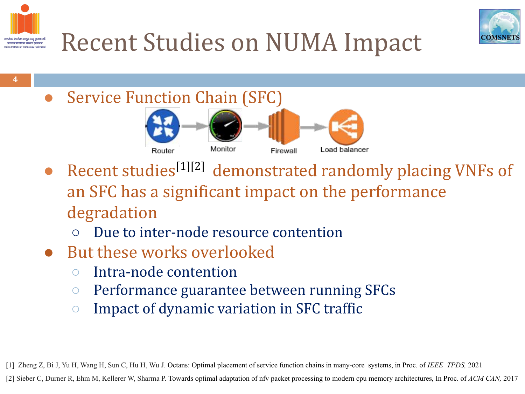



# Recent Studies on NUMA Impact

**4**

**Service Function Chain (SFC)** 



- Recent studies<sup>[1][2]</sup> demonstrated randomly placing VNFs of an SFC has a significant impact on the performance degradation
	- Due to inter-node resource contention
- But these works overlooked
	- Intra-node contention
	- Performance guarantee between running SFCs
	- Impact of dynamic variation in SFC traffic

[1] Zheng Z, Bi J, Yu H, Wang H, Sun C, Hu H, Wu J. Octans: Optimal placement of service function chains in many-core systems, in Proc. of *IEEE TPDS,* 2021

[2] Sieber C, Durner R, Ehm M, Kellerer W, Sharma P. Towards optimal adaptation of nfv packet processing to modern cpu memory architectures, In Proc. of *ACM CAN,* 2017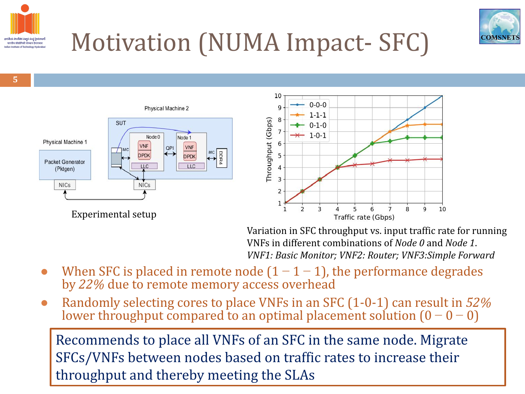



# Motivation (NUMA Impact- SFC)

**5**





Variation in SFC throughput vs. input traffic rate for running VNFs in different combinations of *Node 0* and *Node 1*. *VNF1: Basic Monitor; VNF2: Router; VNF3:Simple Forward*

- When SFC is placed in remote node  $(1 1 1)$ , the performance degrades by *22%* due to remote memory access overhead
- Randomly selecting cores to place VNFs in an SFC (1-0-1) can result in *52%* lower throughput compared to an optimal placement solution  $(0 - 0 - 0)$ l<br>L

Recommends to place all VNFs of an SFC in the same node. Migrate SFCs/VNFs between nodes based on traffic rates to increase their throughput and thereby meeting the SLAs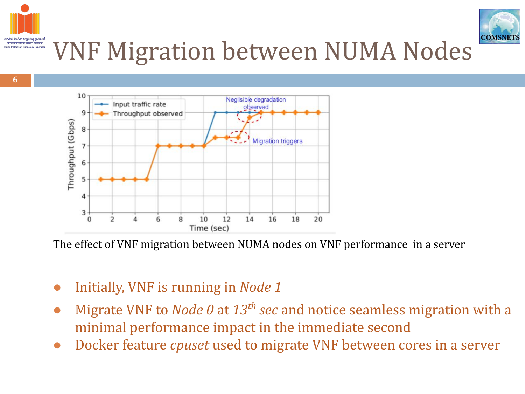

#### భారతీయ సాంకేతిక విజ్ఞాన సంస్థ హైదరాబాద్ भारतीय प्रौद्योगिकी संस्थान हैदराबाद VNF Migration between NUMA Nodes dian Institute of Technology Hyderabar



The effect of VNF migration between NUMA nodes on VNF performance in a server

- Initially, VNF is running in *Node 1*
- Migrate VNF to *Node 0* at 13<sup>th</sup> sec and notice seamless migration with a minimal performance impact in the immediate second
- Docker feature *cpuset* used to migrate VNF between cores in a server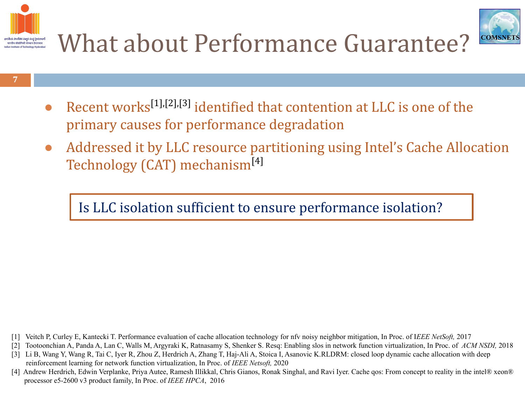



- Recent works<sup>[1],[2],[3]</sup> identified that contention at LLC is one of the primary causes for performance degradation
- Addressed it by LLC resource partitioning using Intel's Cache Allocation Technology (CAT) mechanism[4]

#### Is LLC isolation sufficient to ensure performance isolation?

- [1] Veitch P, Curley E, Kantecki T. Performance evaluation of cache allocation technology for nfv noisy neighbor mitigation, In Proc. of I*EEE NetSoft,* 2017
- [2] Tootoonchian A, Panda A, Lan C, Walls M, Argyraki K, Ratnasamy S, Shenker S. Resq: Enabling slos in network function virtualization, In Proc. of *ACM NSDI,* 2018
- [3] Li B, Wang Y, Wang R, Tai C, Iyer R, Zhou Z, Herdrich A, Zhang T, Haj-Ali A, Stoica I, Asanovic K.RLDRM: closed loop dynamic cache allocation with deep reinforcement learning for network function virtualization, In Proc. of *IEEE Netsoft,* 2020
- [4] Andrew Herdrich, Edwin Verplanke, Priya Autee, Ramesh Illikkal, Chris Gianos, Ronak Singhal, and Ravi Iyer. Cache qos: From concept to reality in the intel® xeon® processor e5-2600 v3 product family, In Proc. of *IEEE HPCA*, 2016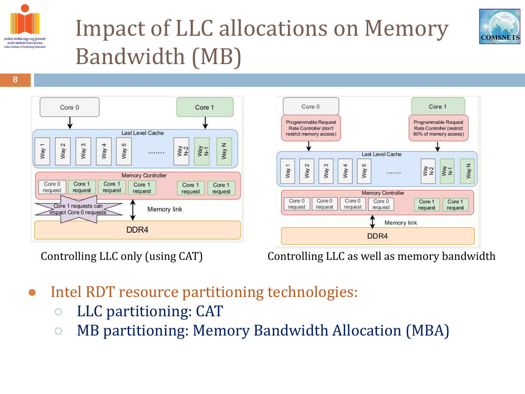

# Impact of LLC allocations on Memory Bandwidth (MB)







Controlling LLC only (using CAT) Controlling LLC as well as memory bandwidth

- Intel RDT resource partitioning technologies:
	- LLC partitioning: CAT
	- MB partitioning: Memory Bandwidth Allocation (MBA)

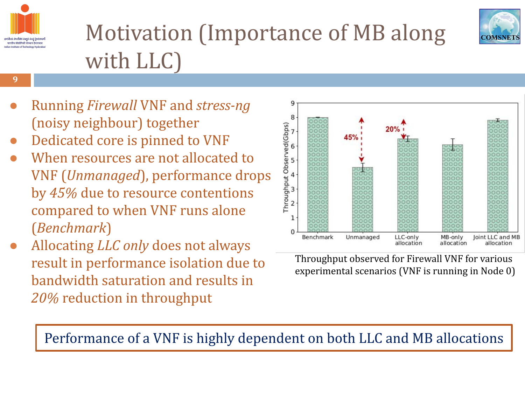

**9**

# Motivation (Importance of MB along with LLC)



- Running *Firewall* VNF and *stress-ng* (noisy neighbour) together
- Dedicated core is pinned to VNF
- When resources are not allocated to VNF (*Unmanaged*), performance drops by *45%* due to resource contentions compared to when VNF runs alone (*Benchmark*)
- Allocating *LLC only* does not always result in performance isolation due to bandwidth saturation and results in *20%* reduction in throughput



Throughput observed for Firewall VNF for various experimental scenarios (VNF is running in Node 0)

Performance of a VNF is highly dependent on both LLC and MB allocations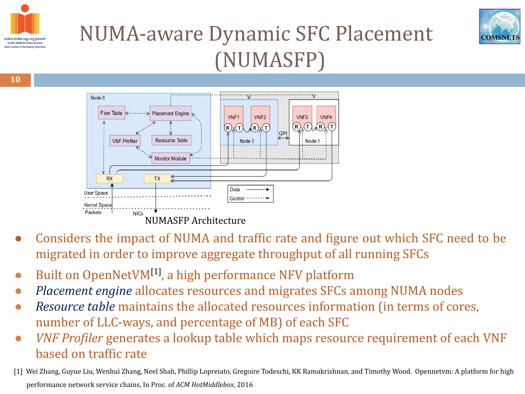



### NUMA-aware Dynamic SFC Placement (NUMASFP)



- Considers the impact of NUMA and traffic rate and figure out which SFC need to be migrated in order to improve aggregate throughput of all running SFCs
- Built on OpenNetVM<sup>[1]</sup>, a high performance NFV platform
- *● Placement engine* allocates resources and migrates SFCs among NUMA nodes
- *Resource table* maintains the allocated resources information (in terms of cores, number of LLC-ways, and percentage of MB) of each SFC
- *VNF Profiler* generates a lookup table which maps resource requirement of each VNF based on traffic rate
- [1] Wei Zhang, Guyue Liu, Wenhui Zhang, Neel Shah, Phillip Lopreiato, Gregoire Todeschi, KK Ramakrishnan, and Timothy Wood. Opennetvm: A platform for high performance network service chains, In Proc. of *ACM HotMiddlebox*, 2016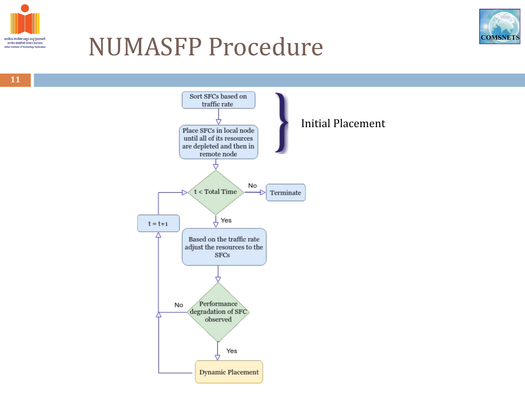



## NUMASFP Procedure

**11**

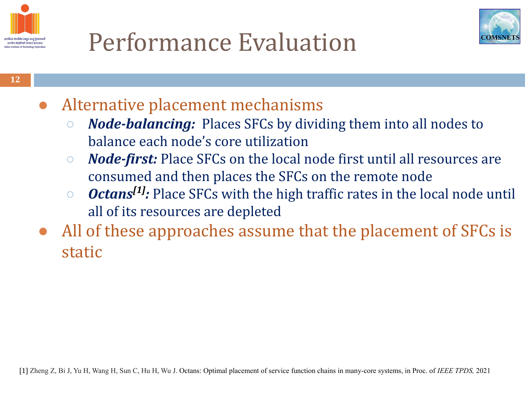



- Alternative placement mechanisms
	- *○ Node-balancing:* Places SFCs by dividing them into all nodes to balance each node's core utilization
	- *○ Node-first:* Place SFCs on the local node first until all resources are consumed and then places the SFCs on the remote node
	- *○ Octans[1]:* Place SFCs with the high traffic rates in the local node until all of its resources are depleted
- All of these approaches assume that the placement of SFCs is static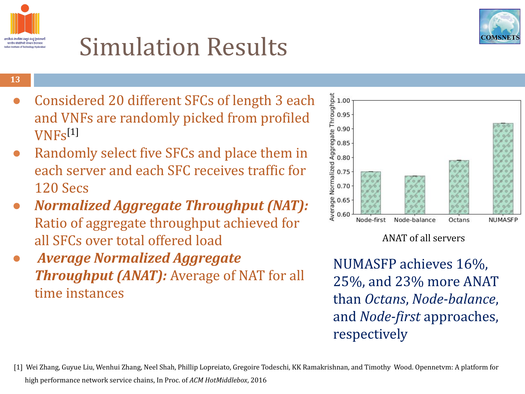



#### **13**

- Considered 20 different SFCs of length 3 each and VNFs are randomly picked from profiled VNFs[1]
- Randomly select five SFCs and place them in each server and each SFC receives traffic for 120 Secs
- *● Normalized Aggregate Throughput (NAT):* Ratio of aggregate throughput achieved for all SFCs over total offered load
- *Average Normalized Aggregate Throughput (ANAT):* Average of NAT for all time instances



#### ANAT of all servers

NUMASFP achieves 16%, 25%, and 23% more ANAT than *Octans*, *Node-balance*, and *Node-first* approaches, respectively

[1] Wei Zhang, Guyue Liu, Wenhui Zhang, Neel Shah, Phillip Lopreiato, Gregoire Todeschi, KK Ramakrishnan, and Timothy Wood. Opennetvm: A platform for high performance network service chains, In Proc. of *ACM HotMiddlebox*, 2016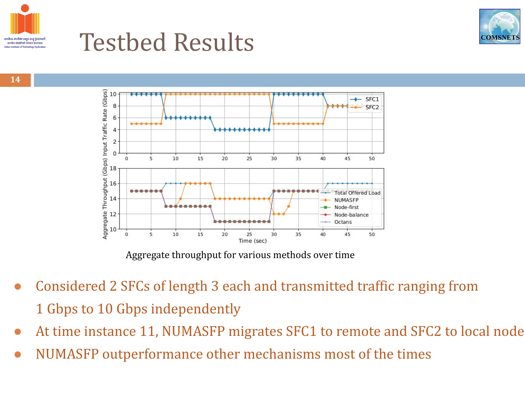

## Testbed Results



**14**



Aggregate throughput for various methods over time

- Considered 2 SFCs of length 3 each and transmitted traffic ranging from 1 Gbps to 10 Gbps independently
- At time instance 11, NUMASFP migrates SFC1 to remote and SFC2 to local node
- NUMASFP outperformance other mechanisms most of the times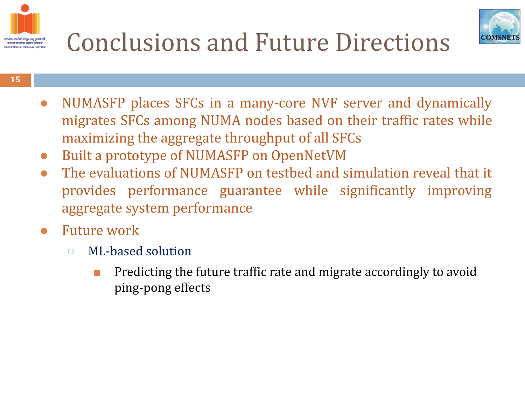



# Conclusions and Future Directions

- NUMASFP places SFCs in a many-core NVF server and dynamically migrates SFCs among NUMA nodes based on their traffic rates while maximizing the aggregate throughput of all SFCs
- Built a prototype of NUMASFP on OpenNetVM
- The evaluations of NUMASFP on testbed and simulation reveal that it provides performance guarantee while significantly improving aggregate system performance
- **Future work** 
	- ML-based solution
		- Predicting the future traffic rate and migrate accordingly to avoid ping-pong effects